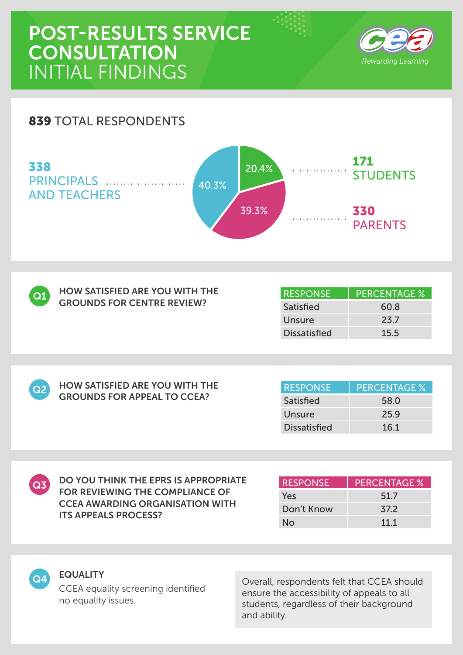# POST-RESULTS SERVICE **CONSULTATION** INITIAL FINDINGS



### 839 TOTAL RESPONDENTS





| <b>HOW SATISFIED ARE YOU WITH THE</b> |
|---------------------------------------|
| <b>GROUNDS FOR CENTRE REVIEW?</b>     |

HOW SATISFIED ARE YOU WITH THE GROUNDS FOR APPEAL TO CCEA?

| <b>RESPONSE</b>     | <b>PERCENTAGE %</b> |
|---------------------|---------------------|
| Satisfied           | 60.8                |
| Unsure              | 23.7                |
| <b>Dissatisfied</b> | 15.5                |

 $Q2$ 

| <b>RESPONSE</b>     | <b>PERCENTAGE %</b> |
|---------------------|---------------------|
| Satisfied           | 58.0                |
| Unsure              | 25.9                |
| <b>Dissatisfied</b> | 16.1                |

 $\boxed{Q3}$ 

DO YOU THINK THE EPRS IS APPROPRIATE FOR REVIEWING THE COMPLIANCE OF CCEA AWARDING ORGANISATION WITH ITS APPEALS PROCESS?

| <b>RESPONSE</b> | <b>PERCENTAGE %</b> |
|-----------------|---------------------|
| Yes             | 51.7                |
| Don't Know      | 37.2                |
| Nο              | 111                 |



#### EQUALITY

CCEA equality screening identified no equality issues.

**Q4** EQUALITY<br>
Coverall, respondents felt that CCEA should ensure the accessibility of appeals to all students, regardless of their background and ability.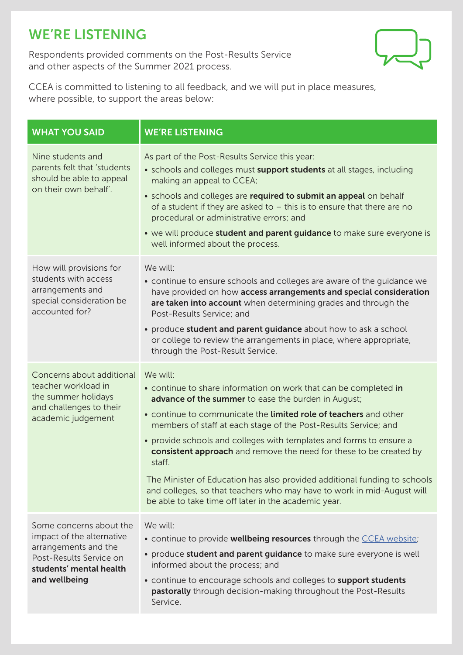# WE'RE LISTENING

Respondents provided comments on the Post-Results Service and other aspects of the Summer 2021 process.



CCEA is committed to listening to all feedback, and we will put in place measures, where possible, to support the areas below:

| <b>WHAT YOU SAID</b>                                                                                                                                | <b>WE'RE LISTENING</b>                                                                                                                                                                                                                                                                                                                                                                                                                                                                                                                                                                                                                           |
|-----------------------------------------------------------------------------------------------------------------------------------------------------|--------------------------------------------------------------------------------------------------------------------------------------------------------------------------------------------------------------------------------------------------------------------------------------------------------------------------------------------------------------------------------------------------------------------------------------------------------------------------------------------------------------------------------------------------------------------------------------------------------------------------------------------------|
| Nine students and<br>parents felt that 'students<br>should be able to appeal<br>on their own behalf'.                                               | As part of the Post-Results Service this year:<br>• schools and colleges must support students at all stages, including<br>making an appeal to CCEA;<br>• schools and colleges are required to submit an appeal on behalf<br>of a student if they are asked to $-$ this is to ensure that there are no<br>procedural or administrative errors; and<br>• we will produce <b>student and parent guidance</b> to make sure everyone is<br>well informed about the process.                                                                                                                                                                          |
| How will provisions for<br>students with access<br>arrangements and<br>special consideration be<br>accounted for?                                   | We will:<br>• continue to ensure schools and colleges are aware of the quidance we<br>have provided on how access arrangements and special consideration<br>are taken into account when determining grades and through the<br>Post-Results Service; and<br>• produce student and parent guidance about how to ask a school<br>or college to review the arrangements in place, where appropriate,<br>through the Post-Result Service.                                                                                                                                                                                                             |
| Concerns about additional<br>teacher workload in<br>the summer holidays<br>and challenges to their<br>academic judgement                            | We will:<br>• continue to share information on work that can be completed in<br>advance of the summer to ease the burden in August;<br>. continue to communicate the limited role of teachers and other<br>members of staff at each stage of the Post-Results Service; and<br>• provide schools and colleges with templates and forms to ensure a<br>consistent approach and remove the need for these to be created by<br>staff.<br>The Minister of Education has also provided additional funding to schools<br>and colleges, so that teachers who may have to work in mid-August will<br>be able to take time off later in the academic year. |
| Some concerns about the<br>impact of the alternative<br>arrangements and the<br>Post-Results Service on<br>students' mental health<br>and wellbeing | We will:<br>• continue to provide wellbeing resources through the CCEA website;<br>• produce student and parent guidance to make sure everyone is well<br>informed about the process; and<br>• continue to encourage schools and colleges to support students<br>pastorally through decision-making throughout the Post-Results<br>Service.                                                                                                                                                                                                                                                                                                      |